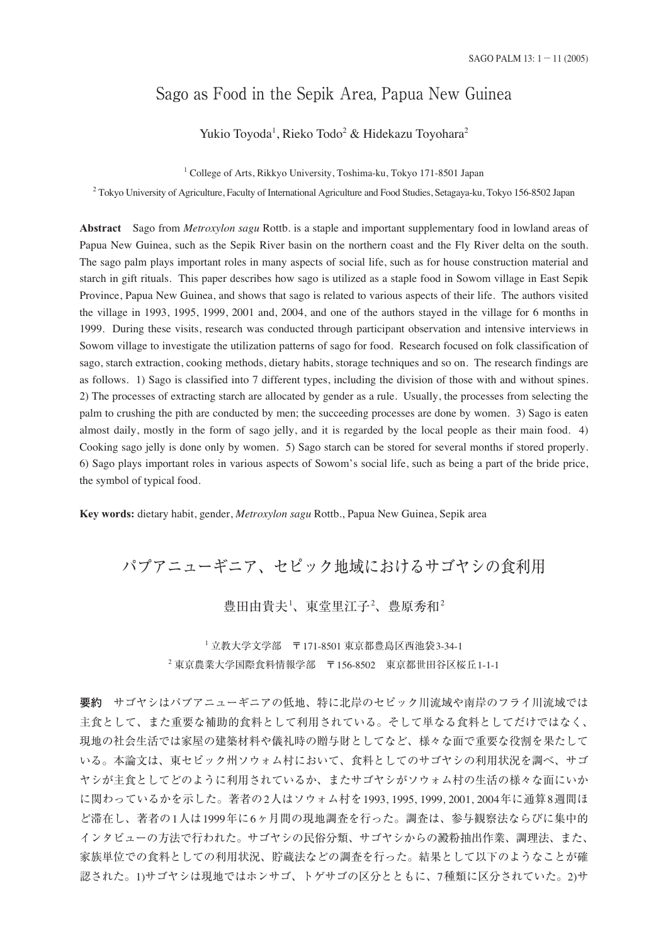## Sago as Food in the Sepik Area, Papua New Guinea

Yukio Toyoda<sup>1</sup>, Rieko Todo<sup>2</sup> & Hidekazu Toyohara<sup>2</sup>

<sup>1</sup> College of Arts, Rikkyo University, Toshima-ku, Tokyo 171-8501 Japan

<sup>2</sup> Tokyo University of Agriculture, Faculty of International Agriculture and Food Studies, Setagaya-ku, Tokyo 156-8502 Japan

**Abstract** Sago from *Metroxylon sagu* Rottb. is a staple and important supplementary food in lowland areas of Papua New Guinea, such as the Sepik River basin on the northern coast and the Fly River delta on the south. The sago palm plays important roles in many aspects of social life, such as for house construction material and starch in gift rituals. This paper describes how sago is utilized as a staple food in Sowom village in East Sepik Province, Papua New Guinea, and shows that sago is related to various aspects of their life. The authors visited the village in 1993, 1995, 1999, 2001 and, 2004, and one of the authors stayed in the village for 6 months in 1999. During these visits, research was conducted through participant observation and intensive interviews in Sowom village to investigate the utilization patterns of sago for food. Research focused on folk classification of sago, starch extraction, cooking methods, dietary habits, storage techniques and so on. The research findings are as follows. 1) Sago is classified into 7 different types, including the division of those with and without spines. 2) The processes of extracting starch are allocated by gender as a rule. Usually, the processes from selecting the palm to crushing the pith are conducted by men; the succeeding processes are done by women. 3) Sago is eaten almost daily, mostly in the form of sago jelly, and it is regarded by the local people as their main food. 4) Cooking sago jelly is done only by women. 5) Sago starch can be stored for several months if stored properly. 6) Sago plays important roles in various aspects of Sowom's social life, such as being a part of the bride price, the symbol of typical food.

**Key words:** dietary habit, gender, *Metroxylon sagu* Rottb., Papua New Guinea, Sepik area

# パプアニューギニア、セピック地域におけるサゴヤシの食利用

豊田由貴夫-'、東堂里江子-'、豊原秀和-

<sup>1</sup> 立教大学文学部 〒171-8501 東京都豊島区西池袋3-34-1 <sup>2</sup> 東京農業大学国際食料情報学部 〒156-8502 東京都世田谷区桜丘1-1-1

**要約** サゴヤシはパプアニューギニアの低地、特に北岸のセピック川流域や南岸のフライ川流域では 主食として、また重要な補助的食料として利用されている。そして単なる食料としてだけではなく、 現地の社会生活では家屋の建築材料や儀礼時の贈与財としてなど、様々な面で重要な役割を果たして いる。本論文は、東セピック州ソウォム村において、食料としてのサゴヤシの利用状況を調べ、サゴ ヤシが主食としてどのように利用されているか、またサゴヤシがソウォム村の生活の様々な面にいか に関わっているかを示した。著者の2人はソウォム村を1993, 1995, 1999, 2001, 2004年に通算8週間ほ ど滞在し、著者の1人は1999年に6ヶ月間の現地調査を行った。調査は、参与観察法ならびに集中的 インタビューの方法で行われた。サゴヤシの民俗分類、サゴヤシからの澱粉抽出作業、調理法、また、 家族単位での食料としての利用状況、貯蔵法などの調査を行った。結果として以下のようなことが確 認された。1)サゴヤシは現地ではホンサゴ、トゲサゴの区分とともに、7種類に区分されていた。2)サ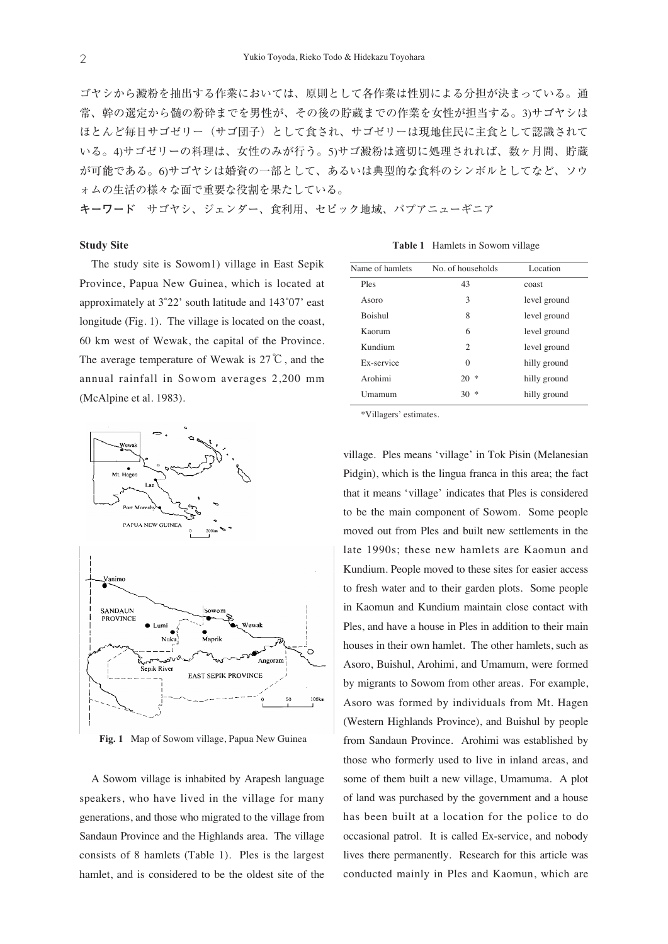ゴヤシから澱粉を抽出する作業においては、原則として各作業は性別による分担が決まっている。通 常、幹の選定から髄の粉砕までを男性が、その後の貯蔵までの作業を女性が担当する。3)サゴヤシは ほとんど毎日サゴゼリー(サゴ団子)として食され、サゴゼリーは現地住民に主食として認識されて いる。4)サゴゼリーの料理は、女性のみが行う。5)サゴ澱粉は適切に処理されれば、数ヶ月間、貯蔵 が可能である。6)サゴヤシは婚資の一部として、あるいは典型的な食料のシンボルとしてなど、ソウ ォムの生活の様々な面で重要な役割を果たしている。

**キーワード** サゴヤシ、ジェンダー、食利用、セピック地域、パプアニューギニア

#### **Study Site**

The study site is Sowom1) village in East Sepik Province, Papua New Guinea, which is located at approximately at 3˚22' south latitude and 143˚07' east longitude (Fig. 1). The village is located on the coast, 60 km west of Wewak, the capital of the Province. The average temperature of Wewak is 27℃, and the annual rainfall in Sowom averages 2,200 mm (McAlpine et al. 1983).



**Fig. 1** Map of Sowom village, Papua New Guinea

A Sowom village is inhabited by Arapesh language speakers, who have lived in the village for many generations, and those who migrated to the village from Sandaun Province and the Highlands area. The village consists of 8 hamlets (Table 1). Ples is the largest hamlet, and is considered to be the oldest site of the

**Table 1** Hamlets in Sowom village

| Name of hamlets | No. of households           | Location     |
|-----------------|-----------------------------|--------------|
| Ples            | 43                          | coast        |
| Asoro           | 3                           | level ground |
| <b>Boishul</b>  | 8                           | level ground |
| Kaorum          | 6                           | level ground |
| Kundium         | $\mathcal{D}_{\mathcal{L}}$ | level ground |
| Ex-service      | $\Omega$                    | hilly ground |
| Arohimi         | *<br>20                     | hilly ground |
| Umamum          | 宋<br>30                     | hilly ground |

\*Villagers' estimates.

village. Ples means 'village' in Tok Pisin (Melanesian Pidgin), which is the lingua franca in this area; the fact that it means 'village' indicates that Ples is considered to be the main component of Sowom. Some people moved out from Ples and built new settlements in the late 1990s; these new hamlets are Kaomun and Kundium. People moved to these sites for easier access to fresh water and to their garden plots. Some people in Kaomun and Kundium maintain close contact with Ples, and have a house in Ples in addition to their main houses in their own hamlet. The other hamlets, such as Asoro, Buishul, Arohimi, and Umamum, were formed by migrants to Sowom from other areas. For example, Asoro was formed by individuals from Mt. Hagen (Western Highlands Province), and Buishul by people from Sandaun Province. Arohimi was established by those who formerly used to live in inland areas, and some of them built a new village, Umamuma. A plot of land was purchased by the government and a house has been built at a location for the police to do occasional patrol. It is called Ex-service, and nobody lives there permanently. Research for this article was conducted mainly in Ples and Kaomun, which are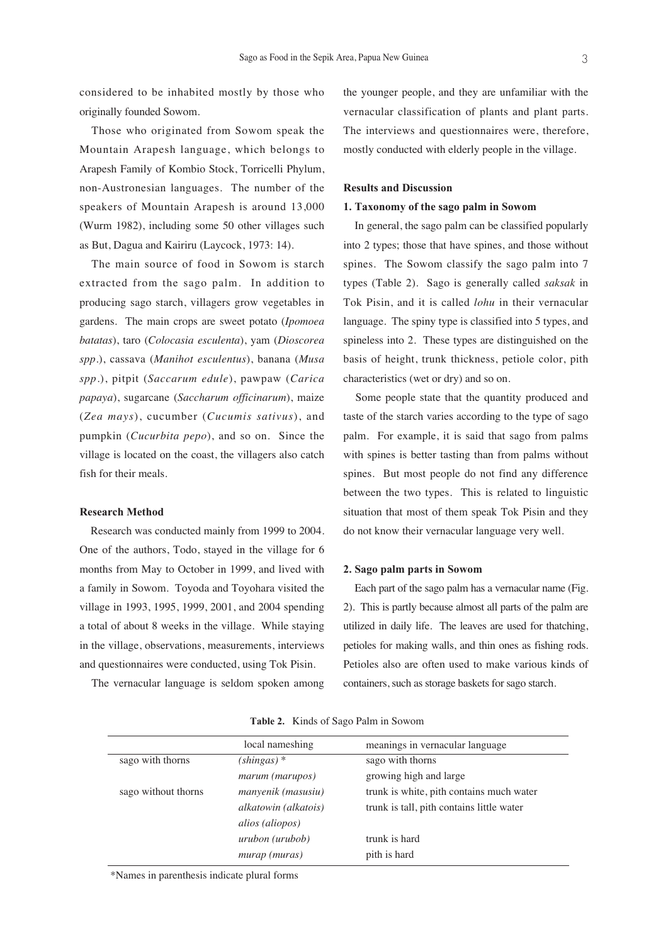considered to be inhabited mostly by those who originally founded Sowom.

Those who originated from Sowom speak the Mountain Arapesh language, which belongs to Arapesh Family of Kombio Stock, Torricelli Phylum, non-Austronesian languages. The number of the speakers of Mountain Arapesh is around 13,000 (Wurm 1982), including some 50 other villages such as But, Dagua and Kairiru (Laycock, 1973: 14).

The main source of food in Sowom is starch extracted from the sago palm. In addition to producing sago starch, villagers grow vegetables in gardens. The main crops are sweet potato (*Ipomoea batatas*), taro (*Colocasia esculenta*), yam (*Dioscorea spp.*), cassava (*Manihot esculentus*), banana (*Musa spp.*), pitpit (*Saccarum edule*), pawpaw (*Carica papaya*), sugarcane (*Saccharum officinarum*), maize (*Zea mays*), cucumber (*Cucumis sativus*), and pumpkin (*Cucurbita pepo*), and so on. Since the village is located on the coast, the villagers also catch fish for their meals.

## **Research Method**

Research was conducted mainly from 1999 to 2004. One of the authors, Todo, stayed in the village for 6 months from May to October in 1999, and lived with a family in Sowom. Toyoda and Toyohara visited the village in 1993, 1995, 1999, 2001, and 2004 spending a total of about 8 weeks in the village. While staying in the village, observations, measurements, interviews and questionnaires were conducted, using Tok Pisin.

The vernacular language is seldom spoken among

the younger people, and they are unfamiliar with the vernacular classification of plants and plant parts. The interviews and questionnaires were, therefore, mostly conducted with elderly people in the village.

## **Results and Discussion**

## **1. Taxonomy of the sago palm in Sowom**

In general, the sago palm can be classified popularly into 2 types; those that have spines, and those without spines. The Sowom classify the sago palm into 7 types (Table 2). Sago is generally called *saksak* in Tok Pisin, and it is called *lohu* in their vernacular language. The spiny type is classified into 5 types, and spineless into 2. These types are distinguished on the basis of height, trunk thickness, petiole color, pith characteristics (wet or dry) and so on.

Some people state that the quantity produced and taste of the starch varies according to the type of sago palm. For example, it is said that sago from palms with spines is better tasting than from palms without spines. But most people do not find any difference between the two types. This is related to linguistic situation that most of them speak Tok Pisin and they do not know their vernacular language very well.

## **2. Sago palm parts in Sowom**

Each part of the sago palm has a vernacular name (Fig. 2). This is partly because almost all parts of the palm are utilized in daily life. The leaves are used for thatching, petioles for making walls, and thin ones as fishing rods. Petioles also are often used to make various kinds of containers, such as storage baskets for sago starch.

|                     | local nameshing      | meanings in vernacular language           |
|---------------------|----------------------|-------------------------------------------|
| sago with thorns    | $(shingas)$ *        | sago with thorns                          |
|                     | marum (marupos)      | growing high and large                    |
| sago without thorns | manyenik (masusiu)   | trunk is white, pith contains much water  |
|                     | alkatowin (alkatois) | trunk is tall, pith contains little water |
|                     | alios (aliopos)      |                                           |
|                     | urubon (urubob)      | trunk is hard                             |
|                     | murap (muras)        | pith is hard                              |

**Table 2.** Kinds of Sago Palm in Sowom

\*Names in parenthesis indicate plural forms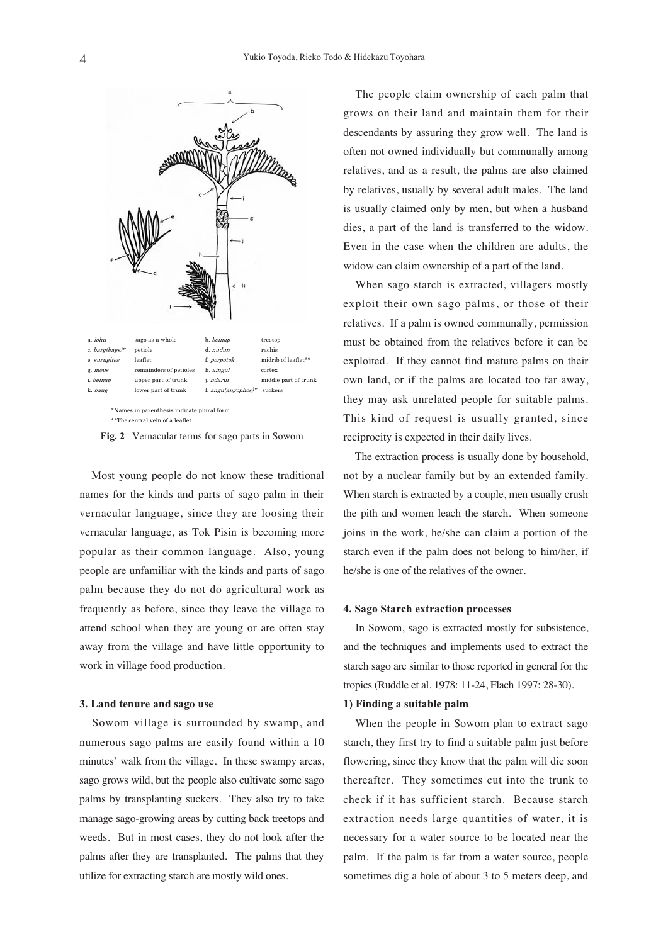

**Fig. 2** Vernacular terms for sago parts in Sowom

Most young people do not know these traditional names for the kinds and parts of sago palm in their vernacular language, since they are loosing their vernacular language, as Tok Pisin is becoming more popular as their common language. Also, young people are unfamiliar with the kinds and parts of sago palm because they do not do agricultural work as frequently as before, since they leave the village to attend school when they are young or are often stay away from the village and have little opportunity to work in village food production.

## **3. Land tenure and sago use**

Sowom village is surrounded by swamp, and numerous sago palms are easily found within a 10 minutes' walk from the village. In these swampy areas, sago grows wild, but the people also cultivate some sago palms by transplanting suckers. They also try to take manage sago-growing areas by cutting back treetops and weeds. But in most cases, they do not look after the palms after they are transplanted. The palms that they utilize for extracting starch are mostly wild ones.

The people claim ownership of each palm that grows on their land and maintain them for their descendants by assuring they grow well. The land is often not owned individually but communally among relatives, and as a result, the palms are also claimed by relatives, usually by several adult males. The land is usually claimed only by men, but when a husband dies, a part of the land is transferred to the widow. Even in the case when the children are adults, the widow can claim ownership of a part of the land.

When sago starch is extracted, villagers mostly exploit their own sago palms, or those of their relatives. If a palm is owned communally, permission must be obtained from the relatives before it can be exploited. If they cannot find mature palms on their own land, or if the palms are located too far away, they may ask unrelated people for suitable palms. This kind of request is usually granted, since reciprocity is expected in their daily lives.

The extraction process is usually done by household, not by a nuclear family but by an extended family. When starch is extracted by a couple, men usually crush the pith and women leach the starch. When someone joins in the work, he/she can claim a portion of the starch even if the palm does not belong to him/her, if he/she is one of the relatives of the owner.

#### **4. Sago Starch extraction processes**

In Sowom, sago is extracted mostly for subsistence, and the techniques and implements used to extract the starch sago are similar to those reported in general for the tropics (Ruddle et al. 1978: 11-24, Flach 1997: 28-30).

## **1) Finding a suitable palm**

When the people in Sowom plan to extract sago starch, they first try to find a suitable palm just before flowering, since they know that the palm will die soon thereafter. They sometimes cut into the trunk to check if it has sufficient starch. Because starch extraction needs large quantities of water, it is necessary for a water source to be located near the palm. If the palm is far from a water source, people sometimes dig a hole of about 3 to 5 meters deep, and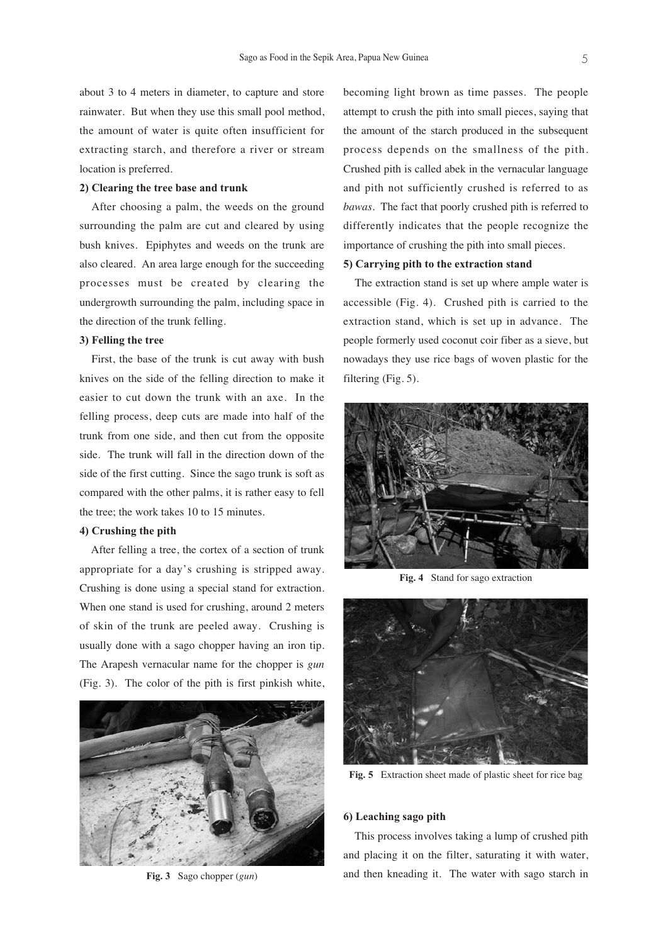about 3 to 4 meters in diameter, to capture and store rainwater. But when they use this small pool method, the amount of water is quite often insufficient for extracting starch, and therefore a river or stream location is preferred.

#### **2) Clearing the tree base and trunk**

After choosing a palm, the weeds on the ground surrounding the palm are cut and cleared by using bush knives. Epiphytes and weeds on the trunk are also cleared. An area large enough for the succeeding processes must be created by clearing the undergrowth surrounding the palm, including space in the direction of the trunk felling.

## **3) Felling the tree**

First, the base of the trunk is cut away with bush knives on the side of the felling direction to make it easier to cut down the trunk with an axe. In the felling process, deep cuts are made into half of the trunk from one side, and then cut from the opposite side. The trunk will fall in the direction down of the side of the first cutting. Since the sago trunk is soft as compared with the other palms, it is rather easy to fell the tree; the work takes 10 to 15 minutes.

## **4) Crushing the pith**

After felling a tree, the cortex of a section of trunk appropriate for a day's crushing is stripped away. Crushing is done using a special stand for extraction. When one stand is used for crushing, around 2 meters of skin of the trunk are peeled away. Crushing is usually done with a sago chopper having an iron tip. The Arapesh vernacular name for the chopper is *gun* (Fig. 3). The color of the pith is first pinkish white,



**Fig. 3** Sago chopper (*gun*)

becoming light brown as time passes. The people attempt to crush the pith into small pieces, saying that the amount of the starch produced in the subsequent process depends on the smallness of the pith. Crushed pith is called abek in the vernacular language and pith not sufficiently crushed is referred to as *bawas*. The fact that poorly crushed pith is referred to differently indicates that the people recognize the importance of crushing the pith into small pieces.

## **5) Carrying pith to the extraction stand**

The extraction stand is set up where ample water is accessible (Fig. 4). Crushed pith is carried to the extraction stand, which is set up in advance. The people formerly used coconut coir fiber as a sieve, but nowadays they use rice bags of woven plastic for the filtering (Fig. 5).



**Fig. 4** Stand for sago extraction



**Fig. 5** Extraction sheet made of plastic sheet for rice bag

#### **6) Leaching sago pith**

This process involves taking a lump of crushed pith and placing it on the filter, saturating it with water, and then kneading it. The water with sago starch in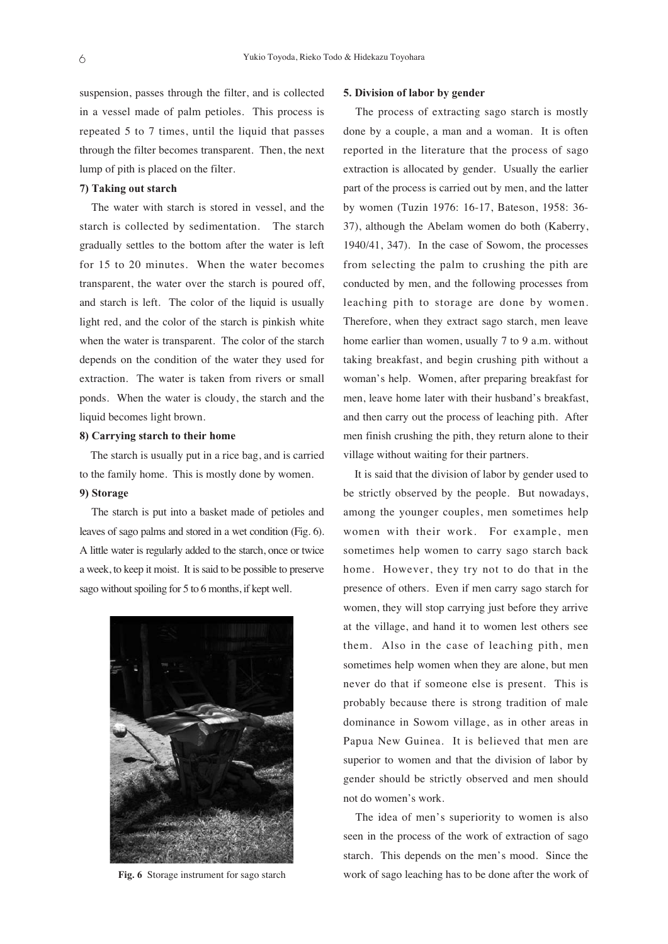suspension, passes through the filter, and is collected in a vessel made of palm petioles. This process is repeated 5 to 7 times, until the liquid that passes through the filter becomes transparent. Then, the next lump of pith is placed on the filter.

## **7) Taking out starch**

The water with starch is stored in vessel, and the starch is collected by sedimentation. The starch gradually settles to the bottom after the water is left for 15 to 20 minutes. When the water becomes transparent, the water over the starch is poured off, and starch is left. The color of the liquid is usually light red, and the color of the starch is pinkish white when the water is transparent. The color of the starch depends on the condition of the water they used for extraction. The water is taken from rivers or small ponds. When the water is cloudy, the starch and the liquid becomes light brown.

## **8) Carrying starch to their home**

The starch is usually put in a rice bag, and is carried to the family home. This is mostly done by women.

## **9) Storage**

The starch is put into a basket made of petioles and leaves of sago palms and stored in a wet condition (Fig. 6). A little water is regularly added to the starch, once or twice a week, to keep it moist. It is said to be possible to preserve sago without spoiling for 5 to 6 months, if kept well.



**Fig. 6** Storage instrument for sago starch

#### **5. Division of labor by gender**

The process of extracting sago starch is mostly done by a couple, a man and a woman. It is often reported in the literature that the process of sago extraction is allocated by gender. Usually the earlier part of the process is carried out by men, and the latter by women (Tuzin 1976: 16-17, Bateson, 1958: 36- 37), although the Abelam women do both (Kaberry, 1940/41, 347). In the case of Sowom, the processes from selecting the palm to crushing the pith are conducted by men, and the following processes from leaching pith to storage are done by women. Therefore, when they extract sago starch, men leave home earlier than women, usually 7 to 9 a.m. without taking breakfast, and begin crushing pith without a woman's help. Women, after preparing breakfast for men, leave home later with their husband's breakfast, and then carry out the process of leaching pith. After men finish crushing the pith, they return alone to their village without waiting for their partners.

It is said that the division of labor by gender used to be strictly observed by the people. But nowadays, among the younger couples, men sometimes help women with their work. For example, men sometimes help women to carry sago starch back home. However, they try not to do that in the presence of others. Even if men carry sago starch for women, they will stop carrying just before they arrive at the village, and hand it to women lest others see them. Also in the case of leaching pith, men sometimes help women when they are alone, but men never do that if someone else is present. This is probably because there is strong tradition of male dominance in Sowom village, as in other areas in Papua New Guinea. It is believed that men are superior to women and that the division of labor by gender should be strictly observed and men should not do women's work.

The idea of men's superiority to women is also seen in the process of the work of extraction of sago starch. This depends on the men's mood. Since the work of sago leaching has to be done after the work of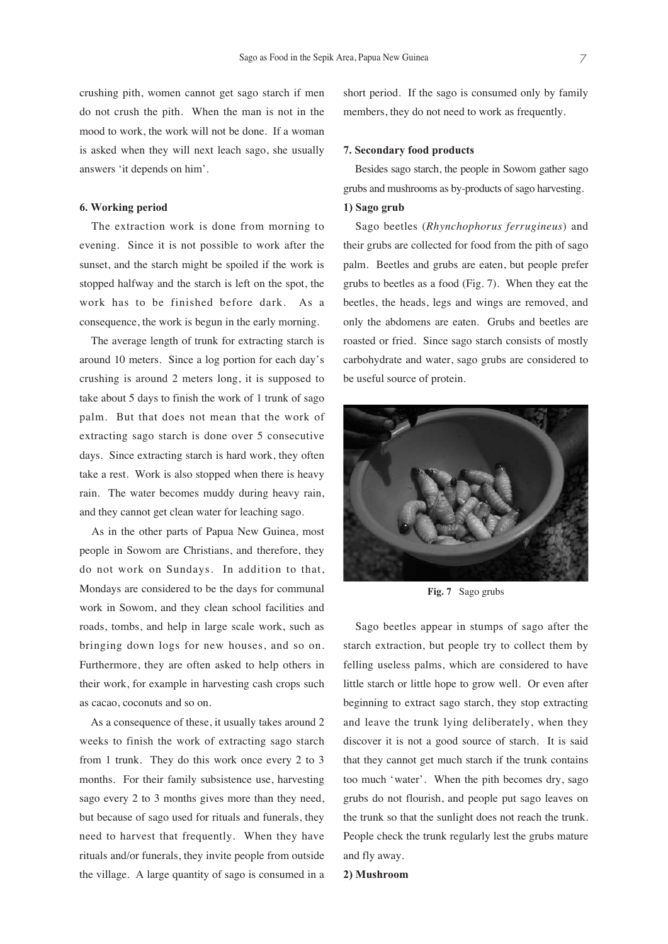crushing pith, women cannot get sago starch if men do not crush the pith. When the man is not in the mood to work, the work will not be done. If a woman is asked when they will next leach sago, she usually answers 'it depends on him'.

## **6. Working period**

The extraction work is done from morning to evening. Since it is not possible to work after the sunset, and the starch might be spoiled if the work is stopped halfway and the starch is left on the spot, the work has to be finished before dark. As a consequence, the work is begun in the early morning.

The average length of trunk for extracting starch is around 10 meters. Since a log portion for each day's crushing is around 2 meters long, it is supposed to take about 5 days to finish the work of 1 trunk of sago palm. But that does not mean that the work of extracting sago starch is done over 5 consecutive days. Since extracting starch is hard work, they often take a rest. Work is also stopped when there is heavy rain. The water becomes muddy during heavy rain, and they cannot get clean water for leaching sago.

As in the other parts of Papua New Guinea, most people in Sowom are Christians, and therefore, they do not work on Sundays. In addition to that, Mondays are considered to be the days for communal work in Sowom, and they clean school facilities and roads, tombs, and help in large scale work, such as bringing down logs for new houses, and so on. Furthermore, they are often asked to help others in their work, for example in harvesting cash crops such as cacao, coconuts and so on.

As a consequence of these, it usually takes around 2 weeks to finish the work of extracting sago starch from 1 trunk. They do this work once every 2 to 3 months. For their family subsistence use, harvesting sago every 2 to 3 months gives more than they need, but because of sago used for rituals and funerals, they need to harvest that frequently. When they have rituals and/or funerals, they invite people from outside the village. A large quantity of sago is consumed in a

short period. If the sago is consumed only by family members, they do not need to work as frequently.

#### **7. Secondary food products**

Besides sago starch, the people in Sowom gather sago grubs and mushrooms as by-products of sago harvesting.

## **1) Sago grub**

Sago beetles (*Rhynchophorus ferrugineus*) and their grubs are collected for food from the pith of sago palm. Beetles and grubs are eaten, but people prefer grubs to beetles as a food (Fig. 7). When they eat the beetles, the heads, legs and wings are removed, and only the abdomens are eaten. Grubs and beetles are roasted or fried. Since sago starch consists of mostly carbohydrate and water, sago grubs are considered to be useful source of protein.



**Fig. 7** Sago grubs

Sago beetles appear in stumps of sago after the starch extraction, but people try to collect them by felling useless palms, which are considered to have little starch or little hope to grow well. Or even after beginning to extract sago starch, they stop extracting and leave the trunk lying deliberately, when they discover it is not a good source of starch. It is said that they cannot get much starch if the trunk contains too much 'water'. When the pith becomes dry, sago grubs do not flourish, and people put sago leaves on the trunk so that the sunlight does not reach the trunk. People check the trunk regularly lest the grubs mature and fly away.

## **2) Mushroom**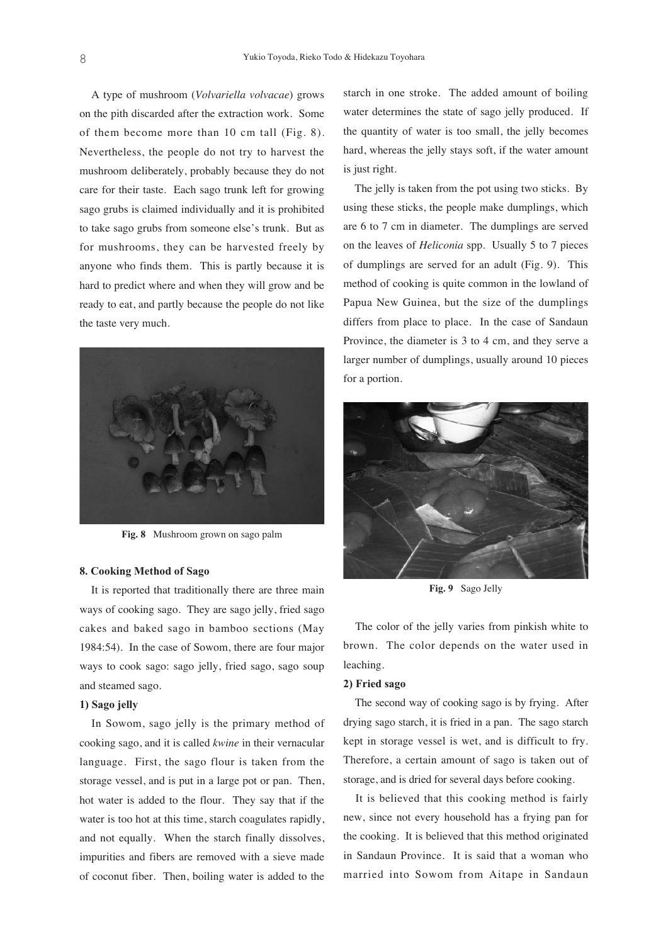A type of mushroom (*Volvariella volvacae*) grows on the pith discarded after the extraction work. Some of them become more than 10 cm tall (Fig. 8). Nevertheless, the people do not try to harvest the mushroom deliberately, probably because they do not care for their taste. Each sago trunk left for growing sago grubs is claimed individually and it is prohibited to take sago grubs from someone else's trunk. But as for mushrooms, they can be harvested freely by anyone who finds them. This is partly because it is hard to predict where and when they will grow and be ready to eat, and partly because the people do not like the taste very much.



**Fig. 8** Mushroom grown on sago palm

## **8. Cooking Method of Sago**

It is reported that traditionally there are three main ways of cooking sago. They are sago jelly, fried sago cakes and baked sago in bamboo sections (May 1984:54). In the case of Sowom, there are four major ways to cook sago: sago jelly, fried sago, sago soup and steamed sago.

## **1) Sago jelly**

In Sowom, sago jelly is the primary method of cooking sago, and it is called *kwine* in their vernacular language. First, the sago flour is taken from the storage vessel, and is put in a large pot or pan. Then, hot water is added to the flour. They say that if the water is too hot at this time, starch coagulates rapidly, and not equally. When the starch finally dissolves, impurities and fibers are removed with a sieve made of coconut fiber. Then, boiling water is added to the

starch in one stroke. The added amount of boiling water determines the state of sago jelly produced. If the quantity of water is too small, the jelly becomes hard, whereas the jelly stays soft, if the water amount is just right.

The jelly is taken from the pot using two sticks. By using these sticks, the people make dumplings, which are 6 to 7 cm in diameter. The dumplings are served on the leaves of *Heliconia* spp. Usually 5 to 7 pieces of dumplings are served for an adult (Fig. 9). This method of cooking is quite common in the lowland of Papua New Guinea, but the size of the dumplings differs from place to place. In the case of Sandaun Province, the diameter is 3 to 4 cm, and they serve a larger number of dumplings, usually around 10 pieces for a portion.



**Fig. 9** Sago Jelly

The color of the jelly varies from pinkish white to brown. The color depends on the water used in leaching.

## **2) Fried sago**

The second way of cooking sago is by frying. After drying sago starch, it is fried in a pan. The sago starch kept in storage vessel is wet, and is difficult to fry. Therefore, a certain amount of sago is taken out of storage, and is dried for several days before cooking.

It is believed that this cooking method is fairly new, since not every household has a frying pan for the cooking. It is believed that this method originated in Sandaun Province. It is said that a woman who married into Sowom from Aitape in Sandaun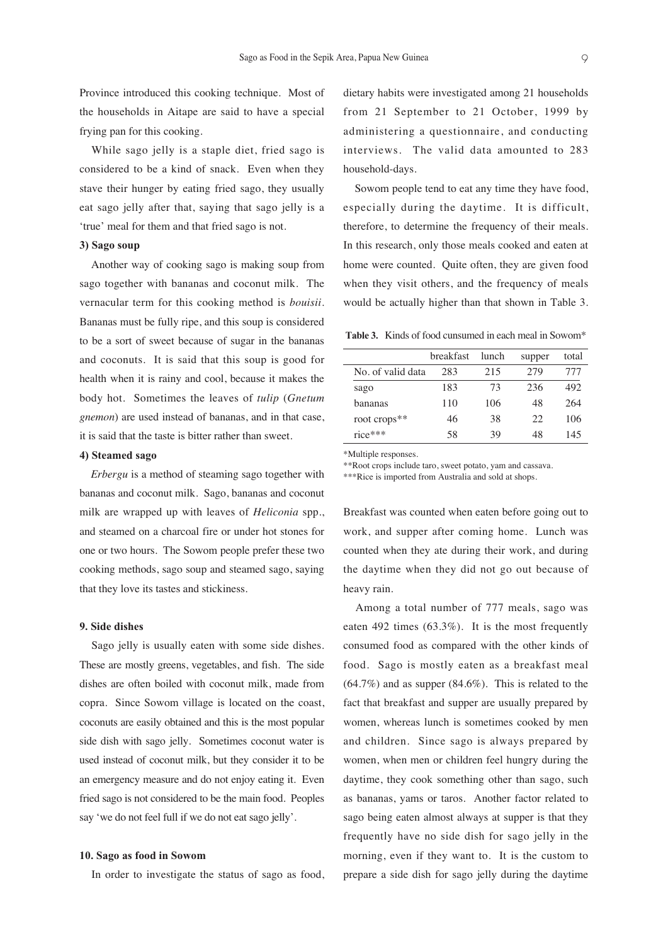Province introduced this cooking technique. Most of the households in Aitape are said to have a special frying pan for this cooking.

While sago jelly is a staple diet, fried sago is considered to be a kind of snack. Even when they stave their hunger by eating fried sago, they usually eat sago jelly after that, saying that sago jelly is a 'true' meal for them and that fried sago is not.

## **3) Sago soup**

Another way of cooking sago is making soup from sago together with bananas and coconut milk. The vernacular term for this cooking method is *bouisii*. Bananas must be fully ripe, and this soup is considered to be a sort of sweet because of sugar in the bananas and coconuts. It is said that this soup is good for health when it is rainy and cool, because it makes the body hot. Sometimes the leaves of *tulip* (*Gnetum gnemon*) are used instead of bananas, and in that case, it is said that the taste is bitter rather than sweet.

#### **4) Steamed sago**

*Erbergu* is a method of steaming sago together with bananas and coconut milk. Sago, bananas and coconut milk are wrapped up with leaves of *Heliconia* spp., and steamed on a charcoal fire or under hot stones for one or two hours. The Sowom people prefer these two cooking methods, sago soup and steamed sago, saying that they love its tastes and stickiness.

## **9. Side dishes**

Sago jelly is usually eaten with some side dishes. These are mostly greens, vegetables, and fish. The side dishes are often boiled with coconut milk, made from copra. Since Sowom village is located on the coast, coconuts are easily obtained and this is the most popular side dish with sago jelly. Sometimes coconut water is used instead of coconut milk, but they consider it to be an emergency measure and do not enjoy eating it. Even fried sago is not considered to be the main food. Peoples say 'we do not feel full if we do not eat sago jelly'.

## **10. Sago as food in Sowom**

In order to investigate the status of sago as food,

dietary habits were investigated among 21 households from 21 September to 21 October, 1999 by administering a questionnaire, and conducting interviews. The valid data amounted to 283 household-days.

Sowom people tend to eat any time they have food, especially during the daytime. It is difficult, therefore, to determine the frequency of their meals. In this research, only those meals cooked and eaten at home were counted. Quite often, they are given food when they visit others, and the frequency of meals would be actually higher than that shown in Table 3.

**Table 3.** Kinds of food cunsumed in each meal in Sowom\*

|                   | breakfast | lunch | supper | total |
|-------------------|-----------|-------|--------|-------|
| No. of valid data | 283       | 215   | 279    | 777   |
| sago              | 183       | 73    | 236    | 492   |
| bananas           | 110       | 106   | 48     | 264   |
| root crops**      | 46        | 38    | 22     | 106   |
| $rice***$         | 58        | 39    | 48     | 145   |

\*Multiple responses.

\*\*Root crops include taro, sweet potato, yam and cassava.

\*\*\*Rice is imported from Australia and sold at shops.

Breakfast was counted when eaten before going out to work, and supper after coming home. Lunch was counted when they ate during their work, and during the daytime when they did not go out because of heavy rain.

Among a total number of 777 meals, sago was eaten 492 times (63.3%). It is the most frequently consumed food as compared with the other kinds of food. Sago is mostly eaten as a breakfast meal  $(64.7\%)$  and as supper  $(84.6\%)$ . This is related to the fact that breakfast and supper are usually prepared by women, whereas lunch is sometimes cooked by men and children. Since sago is always prepared by women, when men or children feel hungry during the daytime, they cook something other than sago, such as bananas, yams or taros. Another factor related to sago being eaten almost always at supper is that they frequently have no side dish for sago jelly in the morning, even if they want to. It is the custom to prepare a side dish for sago jelly during the daytime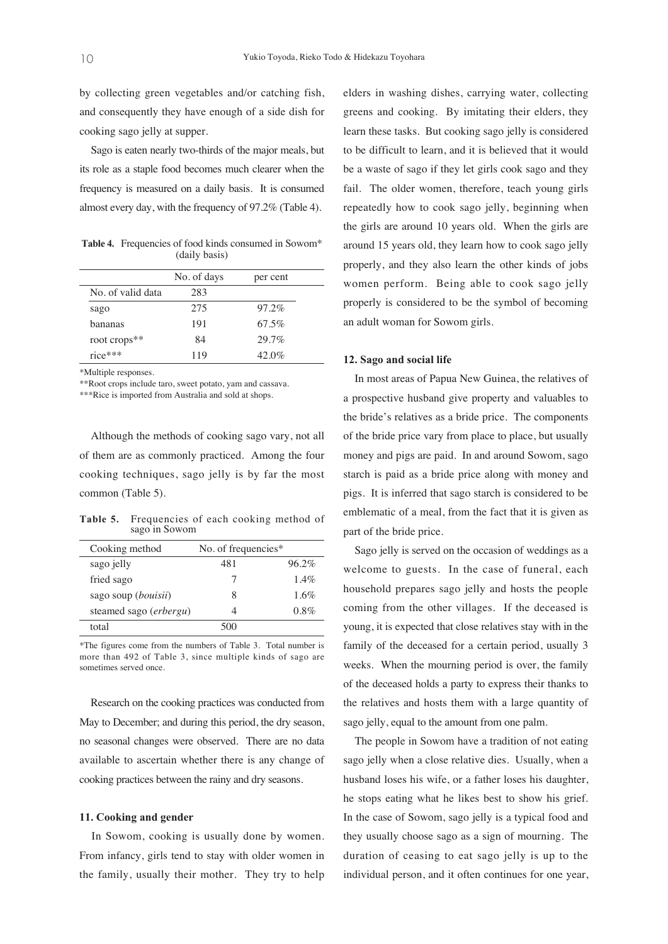by collecting green vegetables and/or catching fish, and consequently they have enough of a side dish for cooking sago jelly at supper.

Sago is eaten nearly two-thirds of the major meals, but its role as a staple food becomes much clearer when the frequency is measured on a daily basis. It is consumed almost every day, with the frequency of 97.2% (Table 4).

Table 4. Frequencies of food kinds consumed in Sowom\* (daily basis)

|                   | No. of days | per cent |
|-------------------|-------------|----------|
| No. of valid data | 283         |          |
| sago              | 275         | $97.2\%$ |
| bananas           | 191         | $67.5\%$ |
| root crops**      | 84          | 29.7%    |
| $rice***$         | 119         | $42.0\%$ |

\*Multiple responses.

\*\*Root crops include taro, sweet potato, yam and cassava.

\*\*\*Rice is imported from Australia and sold at shops.

Although the methods of cooking sago vary, not all of them are as commonly practiced. Among the four cooking techniques, sago jelly is by far the most common (Table 5).

**Table 5.** Frequencies of each cooking method of sago in Sowom

| Cooking method                  | No. of frequencies* |         |
|---------------------------------|---------------------|---------|
| sago jelly                      | 481                 | 96.2%   |
| fried sago                      |                     | $1.4\%$ |
| sago soup ( <i>bouisii</i> )    | 8                   | $1.6\%$ |
| steamed sago ( <i>erbergu</i> ) |                     | $0.8\%$ |
| total                           | 500                 |         |

\*The figures come from the numbers of Table 3. Total number is more than 492 of Table 3, since multiple kinds of sago are sometimes served once.

Research on the cooking practices was conducted from May to December; and during this period, the dry season, no seasonal changes were observed. There are no data available to ascertain whether there is any change of cooking practices between the rainy and dry seasons.

#### **11. Cooking and gender**

In Sowom, cooking is usually done by women. From infancy, girls tend to stay with older women in the family, usually their mother. They try to help elders in washing dishes, carrying water, collecting greens and cooking. By imitating their elders, they learn these tasks. But cooking sago jelly is considered to be difficult to learn, and it is believed that it would be a waste of sago if they let girls cook sago and they fail. The older women, therefore, teach young girls repeatedly how to cook sago jelly, beginning when the girls are around 10 years old. When the girls are around 15 years old, they learn how to cook sago jelly properly, and they also learn the other kinds of jobs women perform. Being able to cook sago jelly properly is considered to be the symbol of becoming an adult woman for Sowom girls.

## **12. Sago and social life**

In most areas of Papua New Guinea, the relatives of a prospective husband give property and valuables to the bride's relatives as a bride price. The components of the bride price vary from place to place, but usually money and pigs are paid. In and around Sowom, sago starch is paid as a bride price along with money and pigs. It is inferred that sago starch is considered to be emblematic of a meal, from the fact that it is given as part of the bride price.

Sago jelly is served on the occasion of weddings as a welcome to guests. In the case of funeral, each household prepares sago jelly and hosts the people coming from the other villages. If the deceased is young, it is expected that close relatives stay with in the family of the deceased for a certain period, usually 3 weeks. When the mourning period is over, the family of the deceased holds a party to express their thanks to the relatives and hosts them with a large quantity of sago jelly, equal to the amount from one palm.

The people in Sowom have a tradition of not eating sago jelly when a close relative dies. Usually, when a husband loses his wife, or a father loses his daughter, he stops eating what he likes best to show his grief. In the case of Sowom, sago jelly is a typical food and they usually choose sago as a sign of mourning. The duration of ceasing to eat sago jelly is up to the individual person, and it often continues for one year,